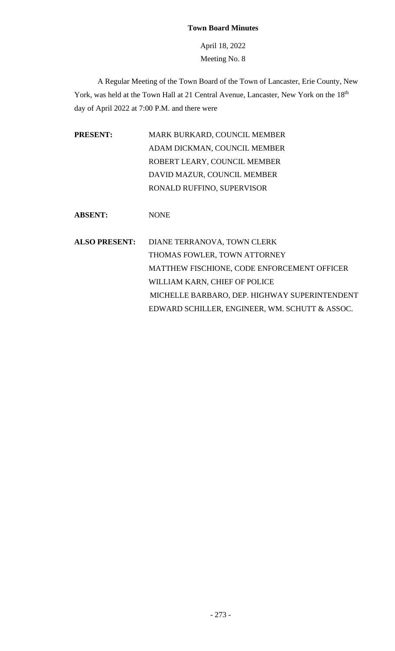## **Town Board Minutes**

April 18, 2022 Meeting No. 8

A Regular Meeting of the Town Board of the Town of Lancaster, Erie County, New York, was held at the Town Hall at 21 Central Avenue, Lancaster, New York on the 18<sup>th</sup> day of April 2022 at 7:00 P.M. and there were

**PRESENT:** MARK BURKARD, COUNCIL MEMBER ADAM DICKMAN, COUNCIL MEMBER ROBERT LEARY, COUNCIL MEMBER DAVID MAZUR, COUNCIL MEMBER RONALD RUFFINO, SUPERVISOR

**ABSENT:** NONE

**ALSO PRESENT:** DIANE TERRANOVA, TOWN CLERK THOMAS FOWLER, TOWN ATTORNEY MATTHEW FISCHIONE, CODE ENFORCEMENT OFFICER WILLIAM KARN, CHIEF OF POLICE MICHELLE BARBARO, DEP. HIGHWAY SUPERINTENDENT EDWARD SCHILLER, ENGINEER, WM. SCHUTT & ASSOC.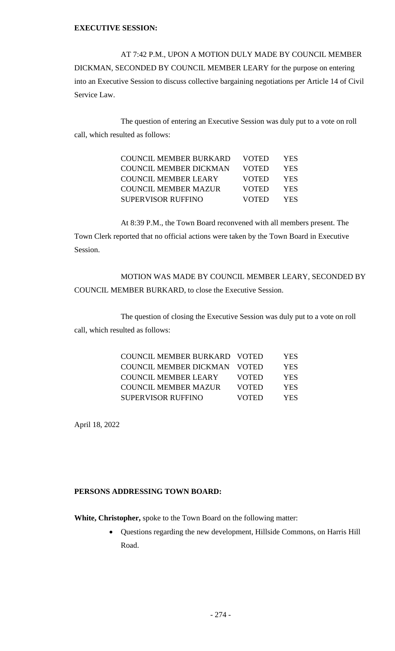## **EXECUTIVE SESSION:**

AT 7:42 P.M., UPON A MOTION DULY MADE BY COUNCIL MEMBER DICKMAN, SECONDED BY COUNCIL MEMBER LEARY for the purpose on entering into an Executive Session to discuss collective bargaining negotiations per Article 14 of Civil Service Law.

The question of entering an Executive Session was duly put to a vote on roll call, which resulted as follows:

| <b>COUNCIL MEMBER BURKARD</b> | VOTED        | <b>YES</b> |
|-------------------------------|--------------|------------|
| <b>COUNCIL MEMBER DICKMAN</b> | <b>VOTED</b> | YES.       |
| COUNCIL MEMBER LEARY          | <b>VOTED</b> | YES.       |
| COUNCIL MEMBER MAZUR          | VOTED        | <b>YES</b> |
| SUPERVISOR RUFFINO            | VOTED        | YES.       |

At 8:39 P.M., the Town Board reconvened with all members present. The Town Clerk reported that no official actions were taken by the Town Board in Executive Session.

MOTION WAS MADE BY COUNCIL MEMBER LEARY, SECONDED BY COUNCIL MEMBER BURKARD, to close the Executive Session.

The question of closing the Executive Session was duly put to a vote on roll call, which resulted as follows:

| COUNCIL MEMBER BURKARD VOTED |              | YES |
|------------------------------|--------------|-----|
| COUNCIL MEMBER DICKMAN VOTED |              | YES |
| <b>COUNCIL MEMBER LEARY</b>  | <b>VOTED</b> | YES |
| <b>COUNCIL MEMBER MAZUR</b>  | <b>VOTED</b> | YES |
| <b>SUPERVISOR RUFFINO</b>    | <b>VOTED</b> | YES |

April 18, 2022

# **PERSONS ADDRESSING TOWN BOARD:**

**White, Christopher,** spoke to the Town Board on the following matter:

• Questions regarding the new development, Hillside Commons, on Harris Hill Road.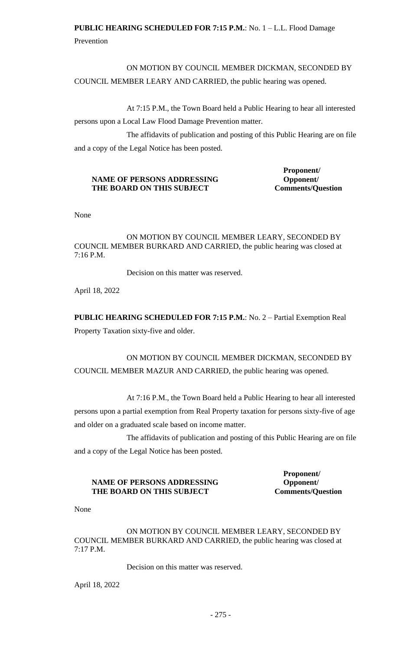# **PUBLIC HEARING SCHEDULED FOR 7:15 P.M.**: No. 1 – L.L. Flood Damage

Prevention

ON MOTION BY COUNCIL MEMBER DICKMAN, SECONDED BY COUNCIL MEMBER LEARY AND CARRIED, the public hearing was opened.

At 7:15 P.M., the Town Board held a Public Hearing to hear all interested persons upon a Local Law Flood Damage Prevention matter.

The affidavits of publication and posting of this Public Hearing are on file and a copy of the Legal Notice has been posted.

# **NAME OF PERSONS ADDRESSING Opponent/**  THE BOARD ON THIS SUBJECT Comments/Question

**Proponent/**

None

ON MOTION BY COUNCIL MEMBER LEARY, SECONDED BY COUNCIL MEMBER BURKARD AND CARRIED, the public hearing was closed at 7:16 P.M.

Decision on this matter was reserved.

April 18, 2022

**PUBLIC HEARING SCHEDULED FOR 7:15 P.M.**: No. 2 – Partial Exemption Real Property Taxation sixty-five and older.

ON MOTION BY COUNCIL MEMBER DICKMAN, SECONDED BY COUNCIL MEMBER MAZUR AND CARRIED, the public hearing was opened.

At 7:16 P.M., the Town Board held a Public Hearing to hear all interested persons upon a partial exemption from Real Property taxation for persons sixty-five of age and older on a graduated scale based on income matter.

The affidavits of publication and posting of this Public Hearing are on file and a copy of the Legal Notice has been posted.

## **NAME OF PERSONS ADDRESSING Opponent/** THE BOARD ON THIS SUBJECT Comments/Question

**Proponent/**

None

ON MOTION BY COUNCIL MEMBER LEARY, SECONDED BY COUNCIL MEMBER BURKARD AND CARRIED, the public hearing was closed at 7:17 P.M.

Decision on this matter was reserved.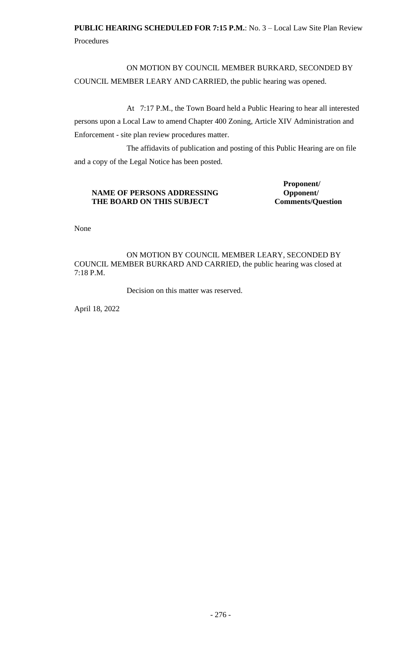**PUBLIC HEARING SCHEDULED FOR 7:15 P.M.**: No. 3 – Local Law Site Plan Review Procedures

ON MOTION BY COUNCIL MEMBER BURKARD, SECONDED BY COUNCIL MEMBER LEARY AND CARRIED, the public hearing was opened.

At 7:17 P.M., the Town Board held a Public Hearing to hear all interested persons upon a Local Law to amend Chapter 400 Zoning, Article XIV Administration and Enforcement - site plan review procedures matter.

The affidavits of publication and posting of this Public Hearing are on file and a copy of the Legal Notice has been posted.

## **NAME OF PERSONS ADDRESSING Opponent/** THE BOARD ON THIS SUBJECT Comments/Question

**Proponent/**

None

ON MOTION BY COUNCIL MEMBER LEARY, SECONDED BY COUNCIL MEMBER BURKARD AND CARRIED, the public hearing was closed at 7:18 P.M.

Decision on this matter was reserved.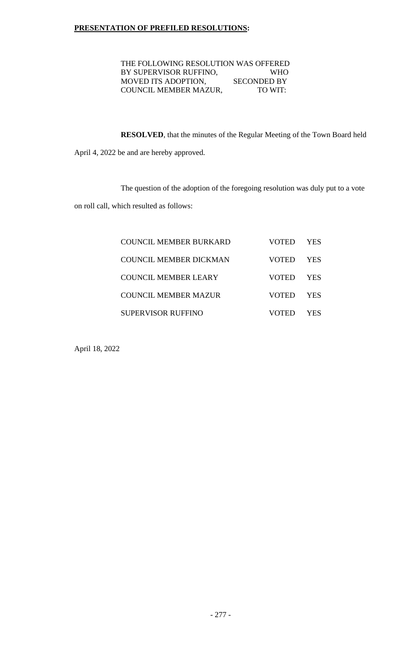## **PRESENTATION OF PREFILED RESOLUTIONS:**

 THE FOLLOWING RESOLUTION WAS OFFERED BY SUPERVISOR RUFFINO, WHO<br>MOVED ITS ADOPTION, SECONDED BY MOVED ITS ADOPTION, SECONDED BY<br>COUNCIL MEMBER MAZUR, TO WIT: COUNCIL MEMBER MAZUR,

**RESOLVED**, that the minutes of the Regular Meeting of the Town Board held

April 4, 2022 be and are hereby approved.

The question of the adoption of the foregoing resolution was duly put to a vote

on roll call, which resulted as follows:

| COUNCIL MEMBER BURKARD    | VOTED        | YES. |
|---------------------------|--------------|------|
| COUNCIL MEMBER DICKMAN    | <b>VOTED</b> | YES. |
| COUNCIL MEMBER LEARY      | <b>VOTED</b> | YES. |
| COUNCIL MEMBER MAZUR      | <b>VOTED</b> | YES. |
| <b>SUPERVISOR RUFFINO</b> | VOTED        | YES  |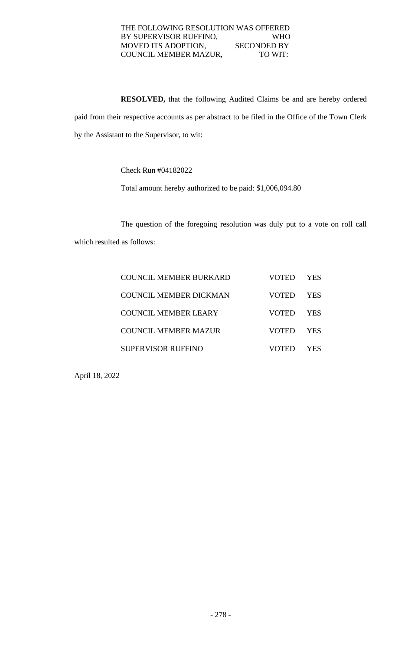## THE FOLLOWING RESOLUTION WAS OFFERED BY SUPERVISOR RUFFINO, WHO MOVED ITS ADOPTION, SECONDED BY COUNCIL MEMBER MAZUR, TO WIT:

**RESOLVED,** that the following Audited Claims be and are hereby ordered paid from their respective accounts as per abstract to be filed in the Office of the Town Clerk by the Assistant to the Supervisor, to wit:

Check Run #04182022

Total amount hereby authorized to be paid: \$1,006,094.80

The question of the foregoing resolution was duly put to a vote on roll call which resulted as follows:

| <b>COUNCIL MEMBER BURKARD</b> | VOTED        | YES.  |
|-------------------------------|--------------|-------|
| <b>COUNCIL MEMBER DICKMAN</b> | <b>VOTED</b> | YES.  |
| COUNCIL MEMBER LEARY          | <b>VOTED</b> | YES.  |
| COUNCIL MEMBER MAZUR          | VOTED        | YES   |
| <b>SUPERVISOR RUFFINO</b>     |              | 7 E.S |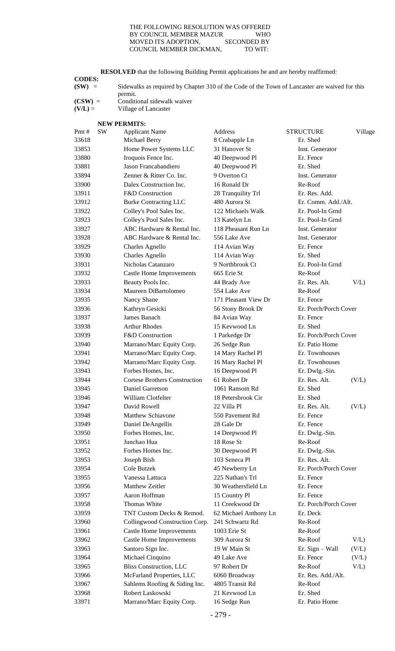#### THE FOLLOWING RESOLUTION WAS OFFERED<br>BY COUNCIL MEMBER MAZUR WHO BY COUNCIL MEMBER MAZUR MOVED ITS ADOPTION, SECONDED BY COUNCIL MEMBER DICKMAN, TO WIT:

**RESOLVED** that the following Building Permit applications be and are hereby reaffirmed:

**CODES:**

| $(SW) =$          | Sidewalks as required by Chapter 310 of the Code of the Town of Lancaster are waived for this |
|-------------------|-----------------------------------------------------------------------------------------------|
|                   | permit.                                                                                       |
| $\alpha$ $\alpha$ |                                                                                               |

 $(CSW)$  = Conditional sidewalk waiver<br> $(V/L)$  = Village of Lancaster **Village of Lancaster** 

| <b>NEW PERMITS:</b> |  |
|---------------------|--|

| Pmt#  | <b>SW</b> | <b>Applicant Name</b>                | Address               | <b>STRUCTURE</b>      | Village |
|-------|-----------|--------------------------------------|-----------------------|-----------------------|---------|
| 33618 |           | Michael Berry                        | 8 Crabapple Ln        | Er. Shed              |         |
| 33853 |           | Home Power Systems LLC               | 31 Hanover St         | Inst. Generator       |         |
| 33880 |           | Iroquois Fence Inc.                  | 40 Deepwood Pl        | Er. Fence             |         |
| 33881 |           | Jason Francabandiero                 | 40 Deepwood Pl        | Er. Shed              |         |
| 33894 |           | Zenner & Ritter Co. Inc.             | 9 Overton Ct          | Inst. Generator       |         |
| 33900 |           | Dalex Construction Inc.              | 16 Ronald Dr          | Re-Roof               |         |
| 33911 |           | F&D Construction                     | 28 Tranquility Trl    | Er. Res. Add.         |         |
| 33912 |           | <b>Burke Contracting LLC</b>         | 480 Aurora St         | Er. Comm. Add./Alt.   |         |
| 33922 |           | Colley's Pool Sales Inc.             | 122 Michaels Walk     | Er. Pool-In Grnd      |         |
| 33923 |           | Colley's Pool Sales Inc.             | 13 Katelyn Ln         | Er. Pool-In Grnd      |         |
| 33927 |           | ABC Hardware & Rental Inc.           | 118 Pheasant Run Ln   | Inst. Generator       |         |
| 33928 |           | ABC Hardware & Rental Inc.           | 556 Lake Ave          | Inst. Generator       |         |
| 33929 |           | Charles Agnello                      | 114 Avian Way         | Er. Fence             |         |
| 33930 |           | <b>Charles Agnello</b>               | 114 Avian Way         | Er. Shed              |         |
| 33931 |           | Nicholas Catanzaro                   | 9 Northbrook Ct       | Er. Pool-In Grnd      |         |
| 33932 |           | <b>Castle Home Improvements</b>      | 665 Erie St           | Re-Roof               |         |
| 33933 |           | Beauty Pools Inc.                    | 44 Brady Ave          | Er. Res. Alt.         | V/L     |
| 33934 |           | Maureen DiBartolomeo                 | 554 Lake Ave          | Re-Roof               |         |
|       |           |                                      | 171 Pleasant View Dr  | Er. Fence             |         |
| 33935 |           | Nancy Shane                          |                       |                       |         |
| 33936 |           | Kathryn Gesicki                      | 56 Stony Brook Dr     | Er. Porch/Porch Cover |         |
| 33937 |           | James Banach                         | 84 Avian Way          | Er. Fence             |         |
| 33938 |           | <b>Arthur Rhodes</b>                 | 15 Kevwood Ln         | Er. Shed              |         |
| 33939 |           | <b>F&amp;D</b> Construction          | 1 Parkedge Dr         | Er. Porch/Porch Cover |         |
| 33940 |           | Marrano/Marc Equity Corp.            | 26 Sedge Run          | Er. Patio Home        |         |
| 33941 |           | Marrano/Marc Equity Corp.            | 14 Mary Rachel Pl     | Er. Townhouses        |         |
| 33942 |           | Marrano/Marc Equity Corp.            | 16 Mary Rachel Pl     | Er. Townhouses        |         |
| 33943 |           | Forbes Homes, Inc.                   | 16 Deepwood Pl        | Er. Dwlg.-Sin.        |         |
| 33944 |           | <b>Cortese Brothers Construction</b> | 61 Robert Dr          | Er. Res. Alt.         | (V/L)   |
| 33945 |           | Daniel Garretson                     | 1061 Ransom Rd        | Er. Shed              |         |
| 33946 |           | William Clotfelter                   | 18 Petersbrook Cir    | Er. Shed              |         |
| 33947 |           | David Rowell                         | 22 Villa Pl           | Er. Res. Alt.         | (V/L)   |
| 33948 |           | Matthew Schiavone                    | 550 Pavement Rd       | Er. Fence             |         |
| 33949 |           | Daniel DeAngellis                    | 28 Gale Dr            | Er. Fence             |         |
| 33950 |           | Forbes Homes, Inc.                   | 14 Deepwood Pl        | Er. Dwlg.-Sin.        |         |
| 33951 |           | Junchao Hua                          | 18 Rose St            | Re-Roof               |         |
| 33952 |           | Forbes Homes Inc.                    | 30 Deepwood Pl        | Er. Dwlg.-Sin.        |         |
| 33953 |           | Joseph Bish                          | 103 Seneca Pl         | Er. Res. Alt.         |         |
| 33954 |           | Cole Butzek                          | 45 Newberry Ln        | Er. Porch/Porch Cover |         |
| 33955 |           | Vanessa Lattuca                      | 225 Nathan's Trl      | Er. Fence             |         |
| 33956 |           | Matthew Zeitler                      | 30 Weathersfield Ln   | Er. Fence             |         |
| 33957 |           | Aaron Hoffman                        | 15 Country Pl         | Er. Fence             |         |
| 33958 |           | Thomas White                         | 11 Creekwood Dr       | Er. Porch/Porch Cover |         |
| 33959 |           | TNT Custom Decks & Remod.            | 62 Michael Anthony Ln | Er. Deck              |         |
| 33960 |           | Collingwood Construction Corp.       | 241 Schwartz Rd       | Re-Roof               |         |
| 33961 |           | <b>Castle Home Improvements</b>      | 1003 Erie St          | Re-Roof               |         |
| 33962 |           | <b>Castle Home Improvements</b>      | 309 Aurora St         | Re-Roof               | V/L     |
| 33963 |           | Santoro Sign Inc.                    | 19 W Main St          | Er. Sign - Wall       | (V/L)   |
| 33964 |           | Michael Cinquino                     | 49 Lake Ave           | Er. Fence             | (V/L)   |
| 33965 |           | <b>Bliss Construction, LLC</b>       | 97 Robert Dr          | Re-Roof               | V/L     |
| 33966 |           | McFarland Properties, LLC            | 6060 Broadway         | Er. Res. Add./Alt.    |         |
| 33967 |           | Sahlems Roofing & Siding Inc.        | 4805 Transit Rd       | Re-Roof               |         |
| 33968 |           | Robert Laskowski                     | 21 Kevwood Ln         | Er. Shed              |         |
| 33971 |           | Marrano/Marc Equity Corp.            | 16 Sedge Run          | Er. Patio Home        |         |
|       |           |                                      |                       |                       |         |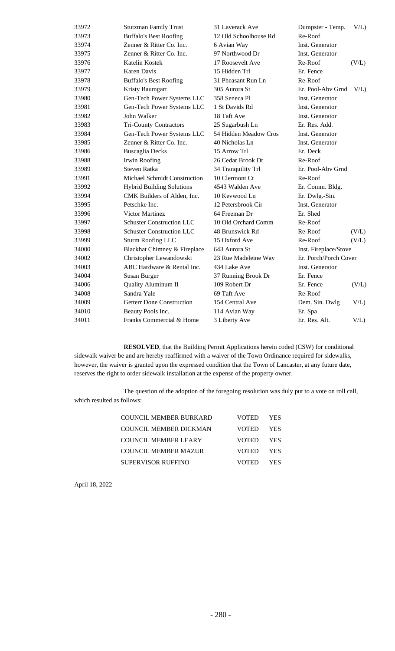| 33972 | <b>Stutzman Family Trust</b>     | 31 Laverack Ave       | Dumpster - Temp.      | $V/L$ ) |
|-------|----------------------------------|-----------------------|-----------------------|---------|
| 33973 | <b>Buffalo's Best Roofing</b>    | 12 Old Schoolhouse Rd | Re-Roof               |         |
| 33974 | Zenner & Ritter Co. Inc.         | 6 Avian Way           | Inst. Generator       |         |
| 33975 | Zenner & Ritter Co. Inc.         | 97 Northwood Dr       | Inst. Generator       |         |
| 33976 | Katelin Kostek                   | 17 Roosevelt Ave      | Re-Roof               | (V/L)   |
| 33977 | Karen Davis                      | 15 Hidden Trl         | Er. Fence             |         |
| 33978 | <b>Buffalo's Best Roofing</b>    | 31 Pheasant Run Ln    | Re-Roof               |         |
| 33979 | Kristy Baumgart                  | 305 Aurora St         | Er. Pool-Abv Grnd     | $V/L$ ) |
| 33980 | Gen-Tech Power Systems LLC       | 358 Seneca Pl         | Inst. Generator       |         |
| 33981 | Gen-Tech Power Systems LLC       | 1 St Davids Rd        | Inst. Generator       |         |
| 33982 | John Walker                      | 18 Taft Ave           | Inst. Generator       |         |
| 33983 | <b>Tri-County Contractors</b>    | 25 Sugarbush Ln       | Er. Res. Add.         |         |
| 33984 | Gen-Tech Power Systems LLC       | 54 Hidden Meadow Cros | Inst. Generator       |         |
| 33985 | Zenner & Ritter Co. Inc.         | 40 Nicholas Ln        | Inst. Generator       |         |
| 33986 | <b>Buscaglia Decks</b>           | 15 Arrow Trl          | Er. Deck              |         |
| 33988 | Irwin Roofing                    | 26 Cedar Brook Dr     | Re-Roof               |         |
| 33989 | Steven Ratka                     | 34 Tranquility Trl    | Er. Pool-Aby Grnd     |         |
| 33991 | Michael Schmidt Construction     | 10 Clermont Ct        | Re-Roof               |         |
| 33992 | <b>Hybrid Building Solutions</b> | 4543 Walden Ave       | Er. Comm. Bldg.       |         |
| 33994 | CMK Builders of Alden, Inc.      | 10 Kevwood Ln         | Er. Dwlg.-Sin.        |         |
| 33995 | Petschke Inc.                    | 12 Petersbrook Cir    | Inst. Generator       |         |
| 33996 | <b>Victor Martinez</b>           | 64 Freeman Dr         | Er. Shed              |         |
| 33997 | <b>Schuster Construction LLC</b> | 10 Old Orchard Comm   | Re-Roof               |         |
| 33998 | <b>Schuster Construction LLC</b> | 48 Brunswick Rd       | Re-Roof               | (V/L)   |
| 33999 | <b>Sturm Roofing LLC</b>         | 15 Oxford Ave         | Re-Roof               | (V/L)   |
| 34000 | Blackhat Chimney & Fireplace     | 643 Aurora St         | Inst. Fireplace/Stove |         |
| 34002 | Christopher Lewandowski          | 23 Rue Madeleine Way  | Er. Porch/Porch Cover |         |
| 34003 | ABC Hardware & Rental Inc.       | 434 Lake Ave          | Inst. Generator       |         |
| 34004 | Susan Burger                     | 37 Running Brook Dr   | Er. Fence             |         |
| 34006 | Quality Aluminum II              | 109 Robert Dr         | Er. Fence             | (V/L)   |
| 34008 | Sandra Yale                      | 69 Taft Ave           | Re-Roof               |         |
| 34009 | <b>Getterr Done Construction</b> | 154 Central Ave       | Dem. Sin. Dwlg        | V/L     |
| 34010 | Beauty Pools Inc.                | 114 Avian Way         | Er. Spa               |         |
| 34011 | Franks Commercial & Home         | 3 Liberty Ave         | Er. Res. Alt.         | V/L     |
|       |                                  |                       |                       |         |

**RESOLVED**, that the Building Permit Applications herein coded (CSW) for conditional sidewalk waiver be and are hereby reaffirmed with a waiver of the Town Ordinance required for sidewalks, however, the waiver is granted upon the expressed condition that the Town of Lancaster, at any future date, reserves the right to order sidewalk installation at the expense of the property owner.

The question of the adoption of the foregoing resolution was duly put to a vote on roll call, which resulted as follows:

| COUNCIL MEMBER BURKARD        | VOTED YES |  |
|-------------------------------|-----------|--|
| <b>COUNCIL MEMBER DICKMAN</b> | VOTED YES |  |
| <b>COUNCIL MEMBER LEARY</b>   | VOTED YES |  |
| COUNCIL MEMBER MAZUR          | VOTED YES |  |
| SUPERVISOR RUFFINO            | VOTED YES |  |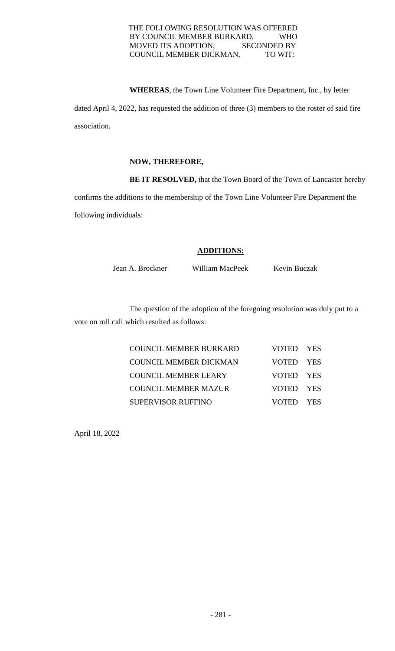## THE FOLLOWING RESOLUTION WAS OFFERED BY COUNCIL MEMBER BURKARD, WHO MOVED ITS ADOPTION, SECONDED BY COUNCIL MEMBER DICKMAN, TO WIT:

**WHEREAS**, the Town Line Volunteer Fire Department, Inc., by letter

dated April 4, 2022, has requested the addition of three (3) members to the roster of said fire association.

## **NOW, THEREFORE,**

**BE IT RESOLVED,** that the Town Board of the Town of Lancaster hereby

confirms the additions to the membership of the Town Line Volunteer Fire Department the following individuals:

## **ADDITIONS:**

Jean A. Brockner William MacPeek Kevin Buczak

The question of the adoption of the foregoing resolution was duly put to a vote on roll call which resulted as follows:

| <b>COUNCIL MEMBER BURKARD</b> | VOTED YES |  |
|-------------------------------|-----------|--|
| <b>COUNCIL MEMBER DICKMAN</b> | VOTED YES |  |
| <b>COUNCIL MEMBER LEARY</b>   | VOTED YES |  |
| <b>COUNCIL MEMBER MAZUR</b>   | VOTED YES |  |
| <b>SUPERVISOR RUFFINO</b>     | VOTED YES |  |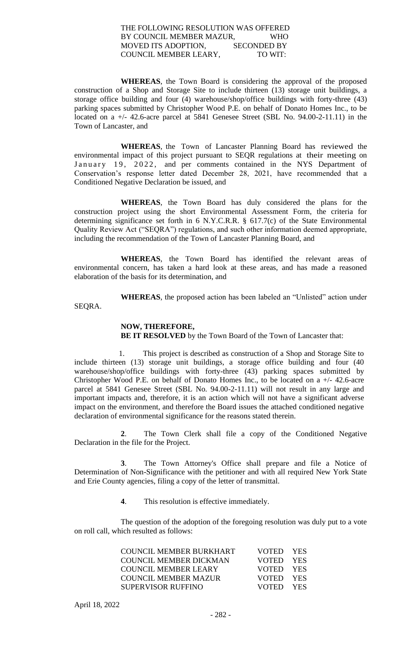### THE FOLLOWING RESOLUTION WAS OFFERED BY COUNCIL MEMBER MAZUR, WHO MOVED ITS ADOPTION, SECONDED BY COUNCIL MEMBER LEARY, TO WIT:

**WHEREAS**, the Town Board is considering the approval of the proposed construction of a Shop and Storage Site to include thirteen (13) storage unit buildings, a storage office building and four (4) warehouse/shop/office buildings with forty-three (43) parking spaces submitted by Christopher Wood P.E. on behalf of Donato Homes Inc., to be located on a  $+/-$  42.6-acre parcel at 5841 Genesee Street (SBL No. 94.00-2-11.11) in the Town of Lancaster, and

**WHEREAS**, the Town of Lancaster Planning Board has reviewed the environmental impact of this project pursuant to SEQR regulations at their meeting on January 19, 2022, and per comments contained in the NYS Department of Conservation's response letter dated December 28, 2021, have recommended that a Conditioned Negative Declaration be issued, and

**WHEREAS**, the Town Board has duly considered the plans for the construction project using the short Environmental Assessment Form, the criteria for determining significance set forth in 6 N.Y.C.R.R. § 617.7(c) of the State Environmental Quality Review Act ("SEQRA") regulations, and such other information deemed appropriate, including the recommendation of the Town of Lancaster Planning Board, and

**WHEREAS**, the Town Board has identified the relevant areas of environmental concern, has taken a hard look at these areas, and has made a reasoned elaboration of the basis for its determination, and

**WHEREAS**, the proposed action has been labeled an "Unlisted" action under

SEQRA.

## **NOW, THEREFORE,**

**BE IT RESOLVED** by the Town Board of the Town of Lancaster that:

 1. This project is described as construction of a Shop and Storage Site to include thirteen (13) storage unit buildings, a storage office building and four (40 warehouse/shop/office buildings with forty-three (43) parking spaces submitted by Christopher Wood P.E. on behalf of Donato Homes Inc., to be located on a +/- 42.6-acre parcel at 5841 Genesee Street (SBL No. 94.00-2-11.11) will not result in any large and important impacts and, therefore, it is an action which will not have a significant adverse impact on the environment, and therefore the Board issues the attached conditioned negative declaration of environmental significance for the reasons stated therein.

**2**. The Town Clerk shall file a copy of the Conditioned Negative Declaration in the file for the Project.

**3**. The Town Attorney's Office shall prepare and file a Notice of Determination of Non-Significance with the petitioner and with all required New York State and Erie County agencies, filing a copy of the letter of transmittal.

**4**. This resolution is effective immediately.

The question of the adoption of the foregoing resolution was duly put to a vote on roll call, which resulted as follows:

| <b>COUNCIL MEMBER BURKHART</b> | VOTED YES |  |
|--------------------------------|-----------|--|
| COUNCIL MEMBER DICKMAN         | VOTED YES |  |
| COUNCIL MEMBER LEARY           | VOTED YES |  |
| <b>COUNCIL MEMBER MAZUR</b>    | VOTED YES |  |
| <b>SUPERVISOR RUFFINO</b>      | VOTED YES |  |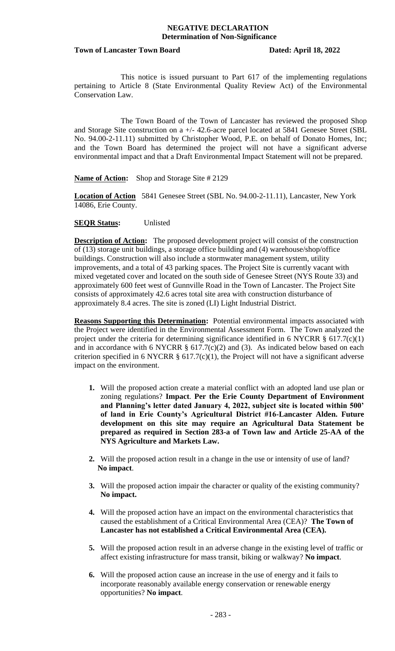#### **Town of Lancaster Town Board Dated: April 18, 2022**

This notice is issued pursuant to Part 617 of the implementing regulations pertaining to Article 8 (State Environmental Quality Review Act) of the Environmental Conservation Law.

The Town Board of the Town of Lancaster has reviewed the proposed Shop and Storage Site construction on a +/- 42.6-acre parcel located at 5841 Genesee Street (SBL No. 94.00-2-11.11) submitted by Christopher Wood, P.E. on behalf of Donato Homes, Inc; and the Town Board has determined the project will not have a significant adverse environmental impact and that a Draft Environmental Impact Statement will not be prepared.

**Name of Action:** Shop and Storage Site # 2129

**Location of Action** 5841 Genesee Street (SBL No. 94.00-2-11.11), Lancaster, New York 14086, Erie County.

## **SEQR Status:** Unlisted

**Description of Action:** The proposed development project will consist of the construction of (13) storage unit buildings, a storage office building and (4) warehouse/shop/office buildings. Construction will also include a stormwater management system, utility improvements, and a total of 43 parking spaces. The Project Site is currently vacant with mixed vegetated cover and located on the south side of Genesee Street (NYS Route 33) and approximately 600 feet west of Gunnville Road in the Town of Lancaster. The Project Site consists of approximately 42.6 acres total site area with construction disturbance of approximately 8.4 acres. The site is zoned (LI) Light Industrial District.

**Reasons Supporting this Determination:** Potential environmental impacts associated with the Project were identified in the Environmental Assessment Form. The Town analyzed the project under the criteria for determining significance identified in 6 NYCRR  $\S$  617.7(c)(1) and in accordance with 6 NYCRR  $\S$  617.7(c)(2) and (3). As indicated below based on each criterion specified in 6 NYCRR  $\S$  617.7(c)(1), the Project will not have a significant adverse impact on the environment.

- **1.** Will the proposed action create a material conflict with an adopted land use plan or zoning regulations? **Impact**. **Per the Erie County Department of Environment and Planning's letter dated January 4, 2022, subject site is located within 500' of land in Erie County's Agricultural District #16-Lancaster Alden. Future development on this site may require an Agricultural Data Statement be prepared as required in Section 283-a of Town law and Article 25-AA of the NYS Agriculture and Markets Law.**
- **2.** Will the proposed action result in a change in the use or intensity of use of land? **No impact**.
- **3.** Will the proposed action impair the character or quality of the existing community? **No impact.**
- **4.** Will the proposed action have an impact on the environmental characteristics that caused the establishment of a Critical Environmental Area (CEA)? **The Town of Lancaster has not established a Critical Environmental Area (CEA).**
- **5.** Will the proposed action result in an adverse change in the existing level of traffic or affect existing infrastructure for mass transit, biking or walkway? **No impact**.
- **6.** Will the proposed action cause an increase in the use of energy and it fails to incorporate reasonably available energy conservation or renewable energy opportunities? **No impact**.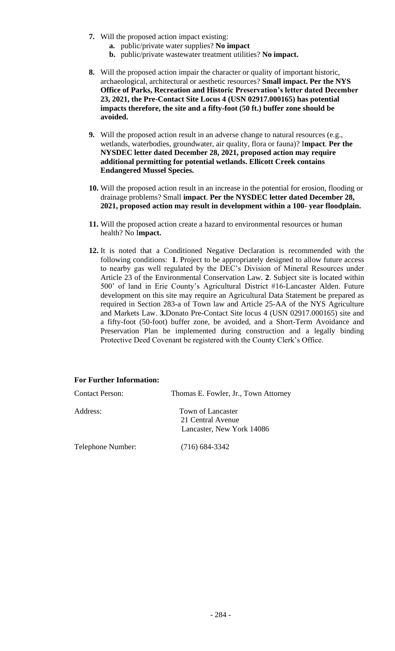- **7.** Will the proposed action impact existing:
	- **a.** public/private water supplies? **No impact**
	- **b.** public/private wastewater treatment utilities? **No impact.**
- **8.** Will the proposed action impair the character or quality of important historic, archaeological, architectural or aesthetic resources? **Small impact. Per the NYS Office of Parks, Recreation and Historic Preservation's letter dated December 23, 2021, the Pre-Contact Site Locus 4 (USN 02917.000165) has potential impacts therefore, the site and a fifty-foot (50 ft.) buffer zone should be avoided.**
- **9.** Will the proposed action result in an adverse change to natural resources (e.g., wetlands, waterbodies, groundwater, air quality, flora or fauna)? I**mpact**. **Per the NYSDEC letter dated December 28, 2021, proposed action may require additional permitting for potential wetlands. Ellicott Creek contains Endangered Mussel Species.**
- **10.** Will the proposed action result in an increase in the potential for erosion, flooding or drainage problems? Small **impact**. **Per the NYSDEC letter dated December 28, 2021, proposed action may result in development within a 100- year floodplain.**
- **11.** Will the proposed action create a hazard to environmental resources or human health? No I**mpact.**
- **12.** It is noted that a Conditioned Negative Declaration is recommended with the following conditions: **1**. Project to be appropriately designed to allow future access to nearby gas well regulated by the DEC's Division of Mineral Resources under Article 23 of the Environmental Conservation Law. **2**. Subject site is located within 500' of land in Erie County's Agricultural District #16-Lancaster Alden. Future development on this site may require an Agricultural Data Statement be prepared as required in Section 283-a of Town law and Article 25-AA of the NYS Agriculture and Markets Law. **3.**Donato Pre-Contact Site locus 4 (USN 02917.000165) site and a fifty-foot (50-foot) buffer zone, be avoided, and a Short-Term Avoidance and Preservation Plan be implemented during construction and a legally binding Protective Deed Covenant be registered with the County Clerk's Office.

## **For Further Information:**

| <b>Contact Person:</b> | Thomas E. Fowler, Jr., Town Attorney                                |
|------------------------|---------------------------------------------------------------------|
| Address:               | Town of Lancaster<br>21 Central Avenue<br>Lancaster, New York 14086 |
| Telephone Number:      | $(716)$ 684-3342                                                    |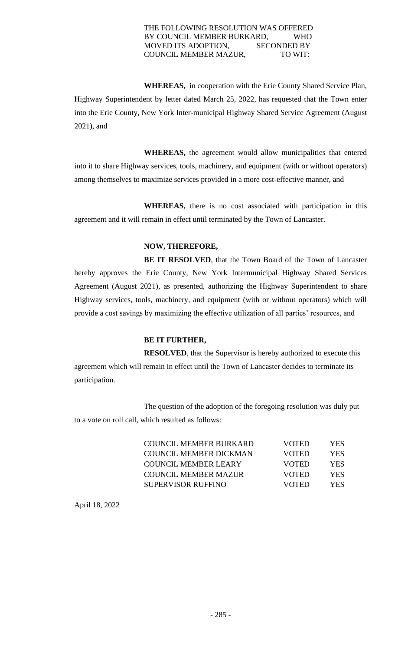## THE FOLLOWING RESOLUTION WAS OFFERED BY COUNCIL MEMBER BURKARD, WHO MOVED ITS ADOPTION, SECONDED BY COUNCIL MEMBER MAZUR, TO WIT:

**WHEREAS,** in cooperation with the Erie County Shared Service Plan, Highway Superintendent by letter dated March 25, 2022, has requested that the Town enter into the Erie County, New York Inter-municipal Highway Shared Service Agreement (August 2021), and

**WHEREAS,** the agreement would allow municipalities that entered into it to share Highway services, tools, machinery, and equipment (with or without operators) among themselves to maximize services provided in a more cost-effective manner, and

**WHEREAS,** there is no cost associated with participation in this agreement and it will remain in effect until terminated by the Town of Lancaster.

# **NOW, THEREFORE,**

**BE IT RESOLVED**, that the Town Board of the Town of Lancaster hereby approves the Erie County, New York Intermunicipal Highway Shared Services Agreement (August 2021), as presented, authorizing the Highway Superintendent to share Highway services, tools, machinery, and equipment (with or without operators) which will provide a cost savings by maximizing the effective utilization of all parties' resources, and

## **BE IT FURTHER,**

**RESOLVED**, that the Supervisor is hereby authorized to execute this agreement which will remain in effect until the Town of Lancaster decides to terminate its participation.

The question of the adoption of the foregoing resolution was duly put to a vote on roll call, which resulted as follows:

| <b>COUNCIL MEMBER BURKARD</b> | <b>VOTED</b> | YES.       |
|-------------------------------|--------------|------------|
| COUNCIL MEMBER DICKMAN        | <b>VOTED</b> | <b>YES</b> |
| <b>COUNCIL MEMBER LEARY</b>   | <b>VOTED</b> | <b>YES</b> |
| <b>COUNCIL MEMBER MAZUR</b>   | <b>VOTED</b> | <b>YES</b> |
| SUPERVISOR RUFFINO            | <b>VOTED</b> | YES.       |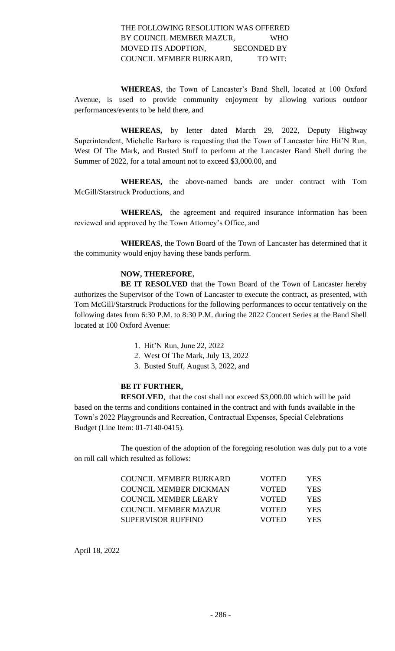## THE FOLLOWING RESOLUTION WAS OFFERED BY COUNCIL MEMBER MAZUR, WHO MOVED ITS ADOPTION, SECONDED BY COUNCIL MEMBER BURKARD, TO WIT:

**WHEREAS**, the Town of Lancaster's Band Shell, located at 100 Oxford Avenue, is used to provide community enjoyment by allowing various outdoor performances/events to be held there, and

**WHEREAS,** by letter dated March 29, 2022, Deputy Highway Superintendent, Michelle Barbaro is requesting that the Town of Lancaster hire Hit'N Run, West Of The Mark, and Busted Stuff to perform at the Lancaster Band Shell during the Summer of 2022, for a total amount not to exceed \$3,000.00, and

**WHEREAS,** the above-named bands are under contract with Tom McGill/Starstruck Productions, and

**WHEREAS,** the agreement and required insurance information has been reviewed and approved by the Town Attorney's Office, and

**WHEREAS**, the Town Board of the Town of Lancaster has determined that it the community would enjoy having these bands perform.

# **NOW, THEREFORE,**

**BE IT RESOLVED** that the Town Board of the Town of Lancaster hereby authorizes the Supervisor of the Town of Lancaster to execute the contract, as presented, with Tom McGill/Starstruck Productions for the following performances to occur tentatively on the following dates from 6:30 P.M. to 8:30 P.M. during the 2022 Concert Series at the Band Shell located at 100 Oxford Avenue:

- 1. Hit'N Run, June 22, 2022
- 2. West Of The Mark, July 13, 2022
- 3. Busted Stuff, August 3, 2022, and

## **BE IT FURTHER,**

**RESOLVED**, that the cost shall not exceed \$3,000.00 which will be paid based on the terms and conditions contained in the contract and with funds available in the Town's 2022 Playgrounds and Recreation, Contractual Expenses, Special Celebrations Budget (Line Item: 01-7140-0415).

The question of the adoption of the foregoing resolution was duly put to a vote on roll call which resulted as follows:

| <b>COUNCIL MEMBER BURKARD</b> | <b>VOTED</b> | YES        |
|-------------------------------|--------------|------------|
| COUNCIL MEMBER DICKMAN        | <b>VOTED</b> | YES.       |
| <b>COUNCIL MEMBER LEARY</b>   | <b>VOTED</b> | YES.       |
| <b>COUNCIL MEMBER MAZUR</b>   | <b>VOTED</b> | <b>YES</b> |
| SUPERVISOR RUFFINO            | <b>VOTED</b> | YES.       |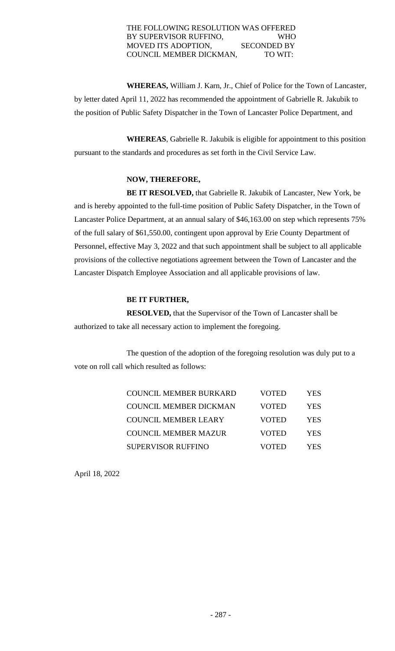## THE FOLLOWING RESOLUTION WAS OFFERED BY SUPERVISOR RUFFINO, WHO MOVED ITS ADOPTION, SECONDED BY COUNCIL MEMBER DICKMAN, TO WIT:

**WHEREAS,** William J. Karn, Jr., Chief of Police for the Town of Lancaster, by letter dated April 11, 2022 has recommended the appointment of Gabrielle R. Jakubik to the position of Public Safety Dispatcher in the Town of Lancaster Police Department, and

**WHEREAS**, Gabrielle R. Jakubik is eligible for appointment to this position pursuant to the standards and procedures as set forth in the Civil Service Law.

## **NOW, THEREFORE,**

**BE IT RESOLVED,** that Gabrielle R. Jakubik of Lancaster, New York, be and is hereby appointed to the full-time position of Public Safety Dispatcher, in the Town of Lancaster Police Department, at an annual salary of \$46,163.00 on step which represents 75% of the full salary of \$61,550.00, contingent upon approval by Erie County Department of Personnel, effective May 3, 2022 and that such appointment shall be subject to all applicable provisions of the collective negotiations agreement between the Town of Lancaster and the Lancaster Dispatch Employee Association and all applicable provisions of law.

# **BE IT FURTHER,**

**RESOLVED,** that the Supervisor of the Town of Lancaster shall be authorized to take all necessary action to implement the foregoing.

The question of the adoption of the foregoing resolution was duly put to a vote on roll call which resulted as follows:

| <b>COUNCIL MEMBER BURKARD</b> | VOTED        | YES.       |
|-------------------------------|--------------|------------|
| <b>COUNCIL MEMBER DICKMAN</b> | VOTED        | YES.       |
| <b>COUNCIL MEMBER LEARY</b>   | <b>VOTED</b> | <b>YES</b> |
| <b>COUNCIL MEMBER MAZUR</b>   | <b>VOTED</b> | <b>YES</b> |
| <b>SUPERVISOR RUFFINO</b>     | VOTED        | YES        |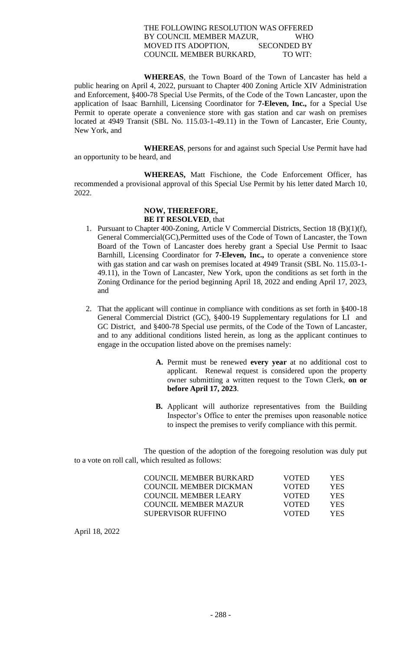## THE FOLLOWING RESOLUTION WAS OFFERED BY COUNCIL MEMBER MAZUR, WHO MOVED ITS ADOPTION, SECONDED BY COUNCIL MEMBER BURKARD, TO WIT:

**WHEREAS**, the Town Board of the Town of Lancaster has held a public hearing on April 4, 2022, pursuant to Chapter 400 Zoning Article XIV Administration and Enforcement, §400-78 Special Use Permits, of the Code of the Town Lancaster, upon the application of Isaac Barnhill, Licensing Coordinator for **7-Eleven, Inc.,** for a Special Use Permit to operate operate a convenience store with gas station and car wash on premises located at 4949 Transit (SBL No. 115.03-1-49.11) in the Town of Lancaster, Erie County, New York, and

**WHEREAS**, persons for and against such Special Use Permit have had an opportunity to be heard, and

**WHEREAS,** Matt Fischione, the Code Enforcement Officer, has recommended a provisional approval of this Special Use Permit by his letter dated March 10, 2022.

# **NOW, THEREFORE, BE IT RESOLVED**, that

- 1. Pursuant to Chapter 400-Zoning, Article V Commercial Districts, Section 18 (B)(1)(f), General Commercial(GC),Permitted uses of the Code of Town of Lancaster, the Town Board of the Town of Lancaster does hereby grant a Special Use Permit to Isaac Barnhill, Licensing Coordinator for **7-Eleven, Inc.,** to operate a convenience store with gas station and car wash on premises located at 4949 Transit (SBL No. 115.03-1- 49.11), in the Town of Lancaster, New York, upon the conditions as set forth in the Zoning Ordinance for the period beginning April 18, 2022 and ending April 17, 2023, and
- 2. That the applicant will continue in compliance with conditions as set forth in §400-18 General Commercial District (GC), §400-19 Supplementary regulations for LI and GC District, and §400-78 Special use permits, of the Code of the Town of Lancaster, and to any additional conditions listed herein, as long as the applicant continues to engage in the occupation listed above on the premises namely:
	- **A.** Permit must be renewed **every year** at no additional cost to applicant. Renewal request is considered upon the property owner submitting a written request to the Town Clerk, **on or before April 17, 2023**.
	- **B.** Applicant will authorize representatives from the Building Inspector's Office to enter the premises upon reasonable notice to inspect the premises to verify compliance with this permit.

The question of the adoption of the foregoing resolution was duly put to a vote on roll call, which resulted as follows:

| COUNCIL MEMBER BURKARD | <b>VOTED</b> | YES.       |
|------------------------|--------------|------------|
| COUNCIL MEMBER DICKMAN | <b>VOTED</b> | YES.       |
| COUNCIL MEMBER LEARY   | <b>VOTED</b> | YES.       |
| COUNCIL MEMBER MAZUR   | <b>VOTED</b> | <b>YES</b> |
| SUPERVISOR RUFFINO     | <b>VOTED</b> | YES.       |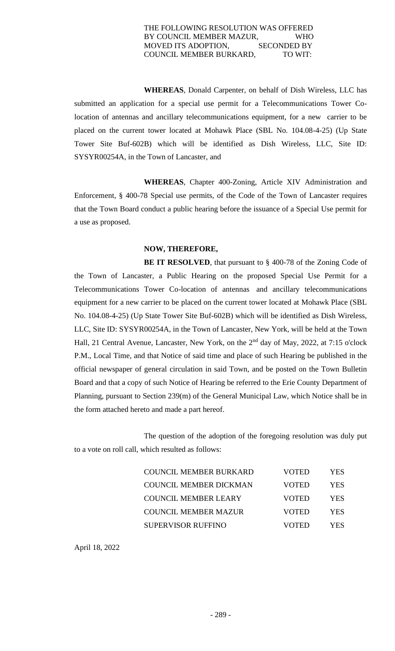#### THE FOLLOWING RESOLUTION WAS OFFERED BY COUNCIL MEMBER MAZUR, WHO MOVED ITS ADOPTION, SECONDED BY COUNCIL MEMBER BURKARD, TO WIT:

**WHEREAS**, Donald Carpenter, on behalf of Dish Wireless, LLC has submitted an application for a special use permit for a Telecommunications Tower Colocation of antennas and ancillary telecommunications equipment, for a new carrier to be placed on the current tower located at Mohawk Place (SBL No. 104.08-4-25) (Up State Tower Site Buf-602B) which will be identified as Dish Wireless, LLC, Site ID: SYSYR00254A, in the Town of Lancaster, and

**WHEREAS**, Chapter 400-Zoning, Article XIV Administration and Enforcement, § 400-78 Special use permits, of the Code of the Town of Lancaster requires that the Town Board conduct a public hearing before the issuance of a Special Use permit for a use as proposed.

## **NOW, THEREFORE,**

**BE IT RESOLVED**, that pursuant to § 400-78 of the Zoning Code of the Town of Lancaster, a Public Hearing on the proposed Special Use Permit for a Telecommunications Tower Co-location of antennas and ancillary telecommunications equipment for a new carrier to be placed on the current tower located at Mohawk Place (SBL No. 104.08-4-25) (Up State Tower Site Buf-602B) which will be identified as Dish Wireless, LLC, Site ID: SYSYR00254A, in the Town of Lancaster, New York, will be held at the Town Hall, 21 Central Avenue, Lancaster, New York, on the 2nd day of May, 2022, at 7:15 o'clock P.M., Local Time, and that Notice of said time and place of such Hearing be published in the official newspaper of general circulation in said Town, and be posted on the Town Bulletin Board and that a copy of such Notice of Hearing be referred to the Erie County Department of Planning, pursuant to Section 239(m) of the General Municipal Law, which Notice shall be in the form attached hereto and made a part hereof.

The question of the adoption of the foregoing resolution was duly put to a vote on roll call, which resulted as follows:

| COUNCIL MEMBER BURKARD        | VOTED        | <b>YES</b> |
|-------------------------------|--------------|------------|
| <b>COUNCIL MEMBER DICKMAN</b> | <b>VOTED</b> | <b>YES</b> |
| <b>COUNCIL MEMBER LEARY</b>   | <b>VOTED</b> | <b>YES</b> |
| <b>COUNCIL MEMBER MAZUR</b>   | <b>VOTED</b> | <b>YES</b> |
| <b>SUPERVISOR RUFFINO</b>     | VOTED        | YES.       |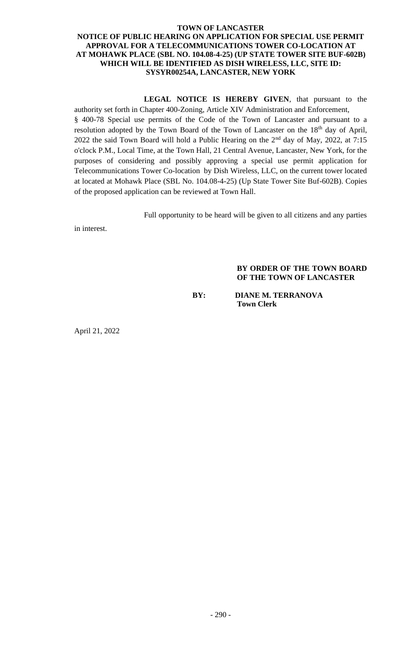## **TOWN OF LANCASTER NOTICE OF PUBLIC HEARING ON APPLICATION FOR SPECIAL USE PERMIT APPROVAL FOR A TELECOMMUNICATIONS TOWER CO-LOCATION AT AT MOHAWK PLACE (SBL NO. 104.08-4-25) (UP STATE TOWER SITE BUF-602B) WHICH WILL BE IDENTIFIED AS DISH WIRELESS, LLC, SITE ID: SYSYR00254A, LANCASTER, NEW YORK**

**LEGAL NOTICE IS HEREBY GIVEN**, that pursuant to the authority set forth in Chapter 400-Zoning, Article XIV Administration and Enforcement,

§ 400-78 Special use permits of the Code of the Town of Lancaster and pursuant to a resolution adopted by the Town Board of the Town of Lancaster on the 18<sup>th</sup> day of April, 2022 the said Town Board will hold a Public Hearing on the 2nd day of May, 2022, at 7:15 o'clock P.M., Local Time, at the Town Hall, 21 Central Avenue, Lancaster, New York, for the purposes of considering and possibly approving a special use permit application for Telecommunications Tower Co-location by Dish Wireless, LLC, on the current tower located at located at Mohawk Place (SBL No. 104.08-4-25) (Up State Tower Site Buf-602B). Copies of the proposed application can be reviewed at Town Hall.

Full opportunity to be heard will be given to all citizens and any parties

in interest.

## **BY ORDER OF THE TOWN BOARD OF THE TOWN OF LANCASTER**

**BY: DIANE M. TERRANOVA Town Clerk**

April 21, 2022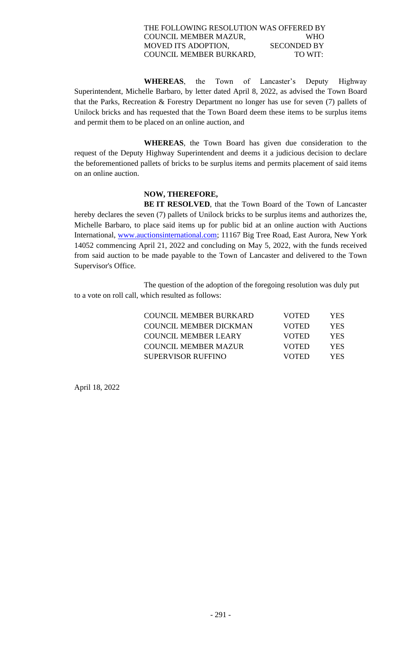## THE FOLLOWING RESOLUTION WAS OFFERED BY COUNCIL MEMBER MAZUR, WHO MOVED ITS ADOPTION, SECONDED BY COUNCIL MEMBER BURKARD, TO WIT:

 **WHEREAS**, the Town of Lancaster's Deputy Highway Superintendent, Michelle Barbaro, by letter dated April 8, 2022, as advised the Town Board that the Parks, Recreation & Forestry Department no longer has use for seven (7) pallets of Unilock bricks and has requested that the Town Board deem these items to be surplus items and permit them to be placed on an online auction, and

**WHEREAS**, the Town Board has given due consideration to the request of the Deputy Highway Superintendent and deems it a judicious decision to declare the beforementioned pallets of bricks to be surplus items and permits placement of said items on an online auction.

## **NOW, THEREFORE,**

**BE IT RESOLVED**, that the Town Board of the Town of Lancaster hereby declares the seven (7) pallets of Unilock bricks to be surplus items and authorizes the, Michelle Barbaro, to place said items up for public bid at an online auction with Auctions International, [www.auctionsinternational.com;](http://www.auctionsinternational.com/) 11167 Big Tree Road, East Aurora, New York 14052 commencing April 21, 2022 and concluding on May 5, 2022, with the funds received from said auction to be made payable to the Town of Lancaster and delivered to the Town Supervisor's Office.

The question of the adoption of the foregoing resolution was duly put to a vote on roll call, which resulted as follows:

| COUNCIL MEMBER BURKARD | <b>VOTED</b> | YES. |
|------------------------|--------------|------|
| COUNCIL MEMBER DICKMAN | <b>VOTED</b> | YES. |
| COUNCIL MEMBER LEARY   | <b>VOTED</b> | YES. |
| COUNCIL MEMBER MAZUR   | <b>VOTED</b> | YES. |
| SUPERVISOR RUFFINO     | VOTED        | YES. |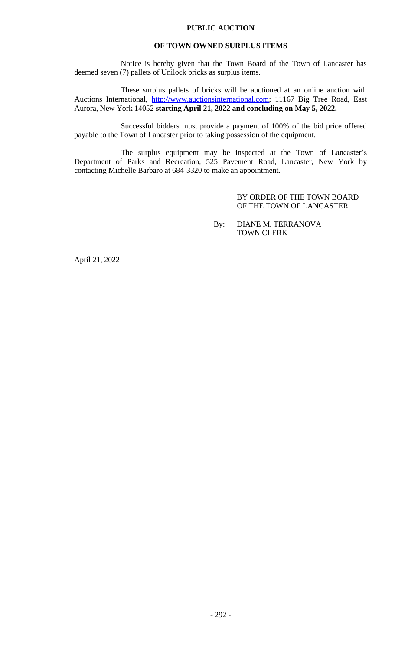## **PUBLIC AUCTION**

#### **OF TOWN OWNED SURPLUS ITEMS**

Notice is hereby given that the Town Board of the Town of Lancaster has deemed seven (7) pallets of Unilock bricks as surplus items.

These surplus pallets of bricks will be auctioned at an online auction with Auctions International, [http://www.auctionsinternational.com;](http://www.auctionsinternational.com/) 11167 Big Tree Road, East Aurora, New York 14052 **starting April 21, 2022 and concluding on May 5, 2022.**

Successful bidders must provide a payment of 100% of the bid price offered payable to the Town of Lancaster prior to taking possession of the equipment.

The surplus equipment may be inspected at the Town of Lancaster's Department of Parks and Recreation, 525 Pavement Road, Lancaster, New York by contacting Michelle Barbaro at 684-3320 to make an appointment.

> BY ORDER OF THE TOWN BOARD OF THE TOWN OF LANCASTER

By: DIANE M. TERRANOVA TOWN CLERK

April 21, 2022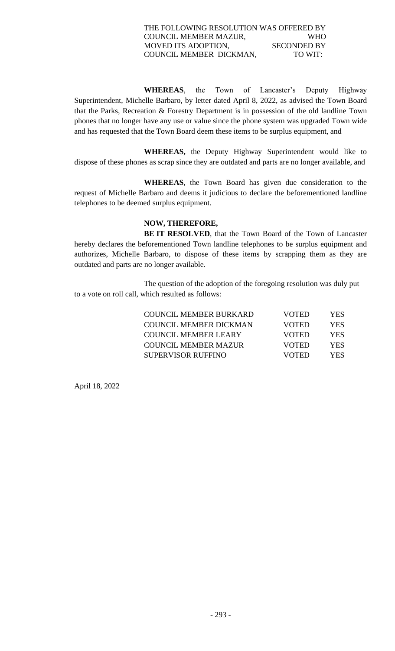## THE FOLLOWING RESOLUTION WAS OFFERED BY COUNCIL MEMBER MAZUR, WHO MOVED ITS ADOPTION, SECONDED BY COUNCIL MEMBER DICKMAN, TO WIT:

 **WHEREAS**, the Town of Lancaster's Deputy Highway Superintendent, Michelle Barbaro, by letter dated April 8, 2022, as advised the Town Board that the Parks, Recreation & Forestry Department is in possession of the old landline Town phones that no longer have any use or value since the phone system was upgraded Town wide and has requested that the Town Board deem these items to be surplus equipment, and

**WHEREAS,** the Deputy Highway Superintendent would like to dispose of these phones as scrap since they are outdated and parts are no longer available, and

**WHEREAS**, the Town Board has given due consideration to the request of Michelle Barbaro and deems it judicious to declare the beforementioned landline telephones to be deemed surplus equipment.

## **NOW, THEREFORE,**

**BE IT RESOLVED**, that the Town Board of the Town of Lancaster hereby declares the beforementioned Town landline telephones to be surplus equipment and authorizes, Michelle Barbaro, to dispose of these items by scrapping them as they are outdated and parts are no longer available.

The question of the adoption of the foregoing resolution was duly put to a vote on roll call, which resulted as follows:

| COUNCIL MEMBER BURKARD      | <b>VOTED</b> | YES.       |
|-----------------------------|--------------|------------|
| COUNCIL MEMBER DICKMAN      | <b>VOTED</b> | <b>YES</b> |
| COUNCIL MEMBER LEARY        | <b>VOTED</b> | YES.       |
| <b>COUNCIL MEMBER MAZUR</b> | <b>VOTED</b> | YES.       |
| <b>SUPERVISOR RUFFINO</b>   | VOTED        | YES.       |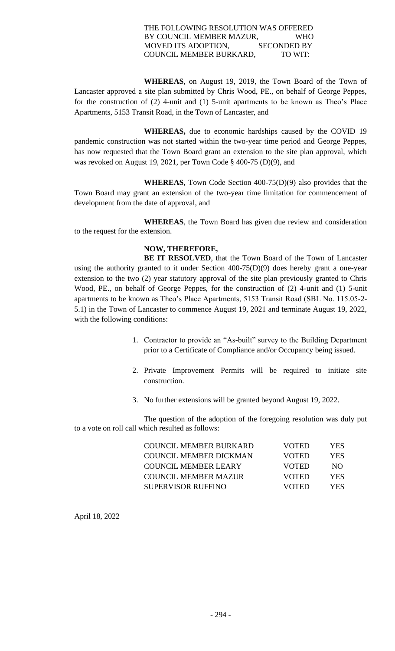## THE FOLLOWING RESOLUTION WAS OFFERED BY COUNCIL MEMBER MAZUR, WHO MOVED ITS ADOPTION, SECONDED BY COUNCIL MEMBER BURKARD, TO WIT:

 **WHEREAS**, on August 19, 2019, the Town Board of the Town of Lancaster approved a site plan submitted by Chris Wood, PE., on behalf of George Peppes, for the construction of (2) 4-unit and (1) 5-unit apartments to be known as Theo's Place Apartments, 5153 Transit Road, in the Town of Lancaster, and

**WHEREAS,** due to economic hardships caused by the COVID 19 pandemic construction was not started within the two-year time period and George Peppes, has now requested that the Town Board grant an extension to the site plan approval, which was revoked on August 19, 2021, per Town Code § 400-75 (D)(9), and

 **WHEREAS**, Town Code Section 400-75(D)(9) also provides that the Town Board may grant an extension of the two-year time limitation for commencement of development from the date of approval, and

**WHEREAS**, the Town Board has given due review and consideration to the request for the extension.

# **NOW, THEREFORE,**

**BE IT RESOLVED**, that the Town Board of the Town of Lancaster using the authority granted to it under Section 400-75(D)(9) does hereby grant a one-year extension to the two (2) year statutory approval of the site plan previously granted to Chris Wood, PE., on behalf of George Peppes, for the construction of (2) 4-unit and (1) 5-unit apartments to be known as Theo's Place Apartments, 5153 Transit Road (SBL No. 115.05-2- 5.1) in the Town of Lancaster to commence August 19, 2021 and terminate August 19, 2022, with the following conditions:

- 1. Contractor to provide an "As-built" survey to the Building Department prior to a Certificate of Compliance and/or Occupancy being issued.
- 2. Private Improvement Permits will be required to initiate site construction.
- 3. No further extensions will be granted beyond August 19, 2022.

 The question of the adoption of the foregoing resolution was duly put to a vote on roll call which resulted as follows:

| COUNCIL MEMBER BURKARD      | <b>VOTED</b> | YES. |
|-----------------------------|--------------|------|
| COUNCIL MEMBER DICKMAN      | <b>VOTED</b> | YES. |
| <b>COUNCIL MEMBER LEARY</b> | <b>VOTED</b> | NO.  |
| <b>COUNCIL MEMBER MAZUR</b> | <b>VOTED</b> | YES. |
| SUPERVISOR RUFFINO          | <b>VOTED</b> | YES. |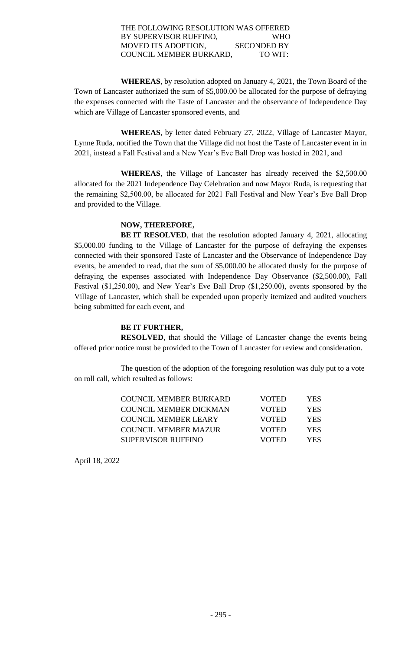## THE FOLLOWING RESOLUTION WAS OFFERED BY SUPERVISOR RUFFINO, WHO MOVED ITS ADOPTION, SECONDED BY COUNCIL MEMBER BURKARD, TO WIT:

**WHEREAS**, by resolution adopted on January 4, 2021, the Town Board of the Town of Lancaster authorized the sum of \$5,000.00 be allocated for the purpose of defraying the expenses connected with the Taste of Lancaster and the observance of Independence Day which are Village of Lancaster sponsored events, and

**WHEREAS**, by letter dated February 27, 2022, Village of Lancaster Mayor, Lynne Ruda, notified the Town that the Village did not host the Taste of Lancaster event in in 2021, instead a Fall Festival and a New Year's Eve Ball Drop was hosted in 2021, and

**WHEREAS**, the Village of Lancaster has already received the \$2,500.00 allocated for the 2021 Independence Day Celebration and now Mayor Ruda, is requesting that the remaining \$2,500.00, be allocated for 2021 Fall Festival and New Year's Eve Ball Drop and provided to the Village.

## **NOW, THEREFORE,**

**BE IT RESOLVED**, that the resolution adopted January 4, 2021, allocating \$5,000.00 funding to the Village of Lancaster for the purpose of defraying the expenses connected with their sponsored Taste of Lancaster and the Observance of Independence Day events, be amended to read, that the sum of \$5,000.00 be allocated thusly for the purpose of defraying the expenses associated with Independence Day Observance (\$2,500.00), Fall Festival (\$1,250.00), and New Year's Eve Ball Drop (\$1,250.00), events sponsored by the Village of Lancaster, which shall be expended upon properly itemized and audited vouchers being submitted for each event, and

## **BE IT FURTHER,**

**RESOLVED**, that should the Village of Lancaster change the events being offered prior notice must be provided to the Town of Lancaster for review and consideration.

 The question of the adoption of the foregoing resolution was duly put to a vote on roll call, which resulted as follows:

| COUNCIL MEMBER BURKARD        | <b>VOTED</b> | YES. |
|-------------------------------|--------------|------|
| <b>COUNCIL MEMBER DICKMAN</b> | <b>VOTED</b> | YES. |
| COUNCIL MEMBER LEARY          | <b>VOTED</b> | YES. |
| COUNCIL MEMBER MAZUR          | <b>VOTED</b> | YES. |
| SUPERVISOR RUFFINO            | VOTED        | YES. |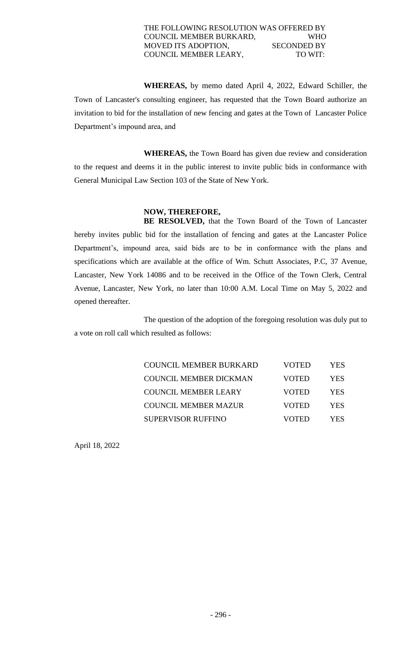## THE FOLLOWING RESOLUTION WAS OFFERED BY COUNCIL MEMBER BURKARD, WHO MOVED ITS ADOPTION, SECONDED BY COUNCIL MEMBER LEARY, TO WIT:

**WHEREAS,** by memo dated April 4, 2022, Edward Schiller, the Town of Lancaster's consulting engineer, has requested that the Town Board authorize an invitation to bid for the installation of new fencing and gates at the Town of Lancaster Police Department's impound area, and

**WHEREAS,** the Town Board has given due review and consideration to the request and deems it in the public interest to invite public bids in conformance with General Municipal Law Section 103 of the State of New York.

# **NOW, THEREFORE,**

**BE RESOLVED,** that the Town Board of the Town of Lancaster hereby invites public bid for the installation of fencing and gates at the Lancaster Police Department's, impound area, said bids are to be in conformance with the plans and specifications which are available at the office of Wm. Schutt Associates, P.C, 37 Avenue, Lancaster, New York 14086 and to be received in the Office of the Town Clerk, Central Avenue, Lancaster, New York, no later than 10:00 A.M. Local Time on May 5, 2022 and opened thereafter.

The question of the adoption of the foregoing resolution was duly put to a vote on roll call which resulted as follows:

| <b>COUNCIL MEMBER BURKARD</b> | VOTED | YES |
|-------------------------------|-------|-----|
| <b>COUNCIL MEMBER DICKMAN</b> | VOTED | YES |
| <b>COUNCIL MEMBER LEARY</b>   | VOTED | YES |
| <b>COUNCIL MEMBER MAZUR</b>   | VOTED | YES |
| <b>SUPERVISOR RUFFINO</b>     | VOTED | YES |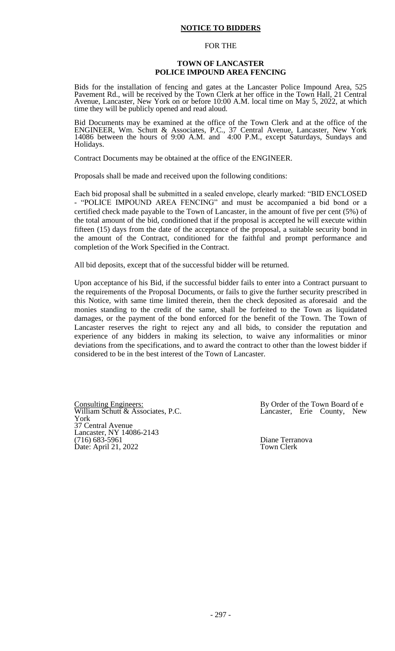#### **NOTICE TO BIDDERS**

#### FOR THE

#### **TOWN OF LANCASTER POLICE IMPOUND AREA FENCING**

Bids for the installation of fencing and gates at the Lancaster Police Impound Area, 525 Pavement Rd., will be received by the Town Clerk at her office in the Town Hall, 21 Central Avenue, Lancaster, New York on or before 10:00 A.M. local time on May 5, 2022, at which time they will be publicly opened and read aloud.

Bid Documents may be examined at the office of the Town Clerk and at the office of the ENGINEER, Wm. Schutt & Associates, P.C., 37 Central Avenue, Lancaster, New York 14086 between the hours of 9:00 A.M. and 4:00 P.M., except Saturdays, Sundays and Holidays.

Contract Documents may be obtained at the office of the ENGINEER.

Proposals shall be made and received upon the following conditions:

Each bid proposal shall be submitted in a sealed envelope, clearly marked: "BID ENCLOSED - "POLICE IMPOUND AREA FENCING" and must be accompanied a bid bond or a certified check made payable to the Town of Lancaster, in the amount of five per cent (5%) of the total amount of the bid, conditioned that if the proposal is accepted he will execute within fifteen (15) days from the date of the acceptance of the proposal, a suitable security bond in the amount of the Contract, conditioned for the faithful and prompt performance and completion of the Work Specified in the Contract.

All bid deposits, except that of the successful bidder will be returned.

Upon acceptance of his Bid, if the successful bidder fails to enter into a Contract pursuant to the requirements of the Proposal Documents, or fails to give the further security prescribed in this Notice, with same time limited therein, then the check deposited as aforesaid and the monies standing to the credit of the same, shall be forfeited to the Town as liquidated damages, or the payment of the bond enforced for the benefit of the Town. The Town of Lancaster reserves the right to reject any and all bids, to consider the reputation and experience of any bidders in making its selection, to waive any informalities or minor deviations from the specifications, and to award the contract to other than the lowest bidder if considered to be in the best interest of the Town of Lancaster.

Consulting Engineers:<br>
William Schutt & Associates, P.C.<br>
Lancaster, Erie County, New William Schutt  $&$  Associates, P.C. York 37 Central Avenue Lancaster, NY 14086-2143 (716) 683-5961 Diane Terranova Date: April 21, 2022 Town Clerk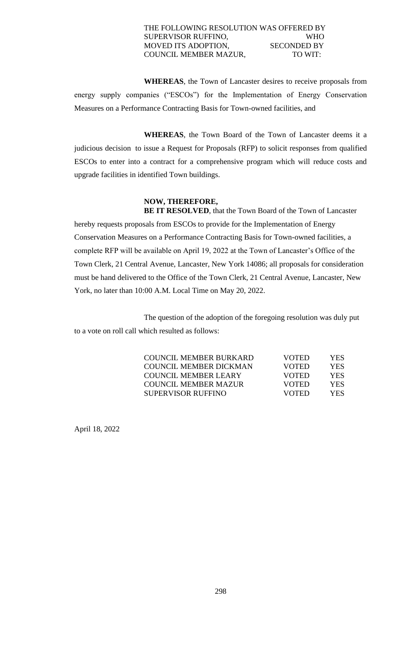## THE FOLLOWING RESOLUTION WAS OFFERED BY SUPERVISOR RUFFINO, WHO MOVED ITS ADOPTION, SECONDED BY COUNCIL MEMBER MAZUR, TO WIT:

**WHEREAS**, the Town of Lancaster desires to receive proposals from energy supply companies ("ESCOs") for the Implementation of Energy Conservation Measures on a Performance Contracting Basis for Town-owned facilities, and

**WHEREAS**, the Town Board of the Town of Lancaster deems it a judicious decision to issue a Request for Proposals (RFP) to solicit responses from qualified ESCOs to enter into a contract for a comprehensive program which will reduce costs and upgrade facilities in identified Town buildings.

# **NOW, THEREFORE,**

**BE IT RESOLVED**, that the Town Board of the Town of Lancaster hereby requests proposals from ESCOs to provide for the Implementation of Energy Conservation Measures on a Performance Contracting Basis for Town-owned facilities, a complete RFP will be available on April 19, 2022 at the Town of Lancaster's Office of the Town Clerk, 21 Central Avenue, Lancaster, New York 14086; all proposals for consideration must be hand delivered to the Office of the Town Clerk, 21 Central Avenue, Lancaster, New York, no later than 10:00 A.M. Local Time on May 20, 2022.

The question of the adoption of the foregoing resolution was duly put to a vote on roll call which resulted as follows:

| COUNCIL MEMBER BURKARD      | <b>VOTED</b> | YES. |
|-----------------------------|--------------|------|
| COUNCIL MEMBER DICKMAN      | <b>VOTED</b> | YES. |
| COUNCIL MEMBER LEARY        | <b>VOTED</b> | YES. |
| <b>COUNCIL MEMBER MAZUR</b> | <b>VOTED</b> | YES. |
| SUPERVISOR RUFFINO          | <b>VOTED</b> | YES. |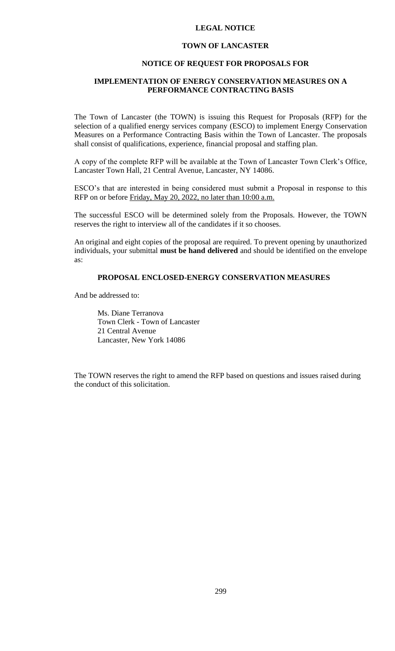#### **LEGAL NOTICE**

#### **TOWN OF LANCASTER**

#### **NOTICE OF REQUEST FOR PROPOSALS FOR**

## **IMPLEMENTATION OF ENERGY CONSERVATION MEASURES ON A PERFORMANCE CONTRACTING BASIS**

The Town of Lancaster (the TOWN) is issuing this Request for Proposals (RFP) for the selection of a qualified energy services company (ESCO) to implement Energy Conservation Measures on a Performance Contracting Basis within the Town of Lancaster. The proposals shall consist of qualifications, experience, financial proposal and staffing plan.

A copy of the complete RFP will be available at the Town of Lancaster Town Clerk's Office, Lancaster Town Hall, 21 Central Avenue, Lancaster, NY 14086.

ESCO's that are interested in being considered must submit a Proposal in response to this RFP on or before Friday, May 20, 2022, no later than 10:00 a.m.

The successful ESCO will be determined solely from the Proposals. However, the TOWN reserves the right to interview all of the candidates if it so chooses.

An original and eight copies of the proposal are required. To prevent opening by unauthorized individuals, your submittal **must be hand delivered** and should be identified on the envelope as:

#### **PROPOSAL ENCLOSED-ENERGY CONSERVATION MEASURES**

And be addressed to:

Ms. Diane Terranova Town Clerk - Town of Lancaster 21 Central Avenue Lancaster, New York 14086

The TOWN reserves the right to amend the RFP based on questions and issues raised during the conduct of this solicitation.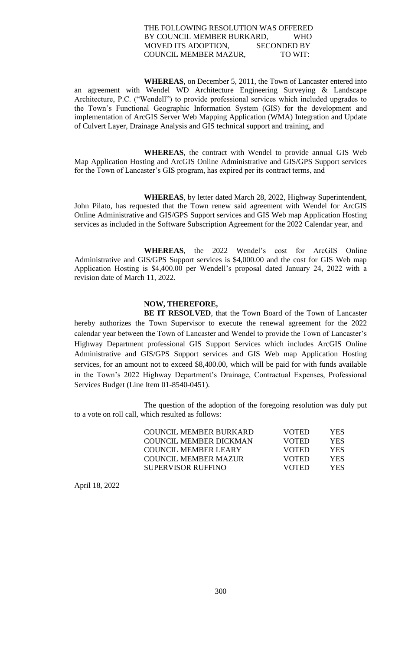### THE FOLLOWING RESOLUTION WAS OFFERED BY COUNCIL MEMBER BURKARD, WHO MOVED ITS ADOPTION, SECONDED BY COUNCIL MEMBER MAZUR, TO WIT:

 **WHEREAS**, on December 5, 2011, the Town of Lancaster entered into an agreement with Wendel WD Architecture Engineering Surveying & Landscape Architecture, P.C. ("Wendell") to provide professional services which included upgrades to the Town's Functional Geographic Information System (GIS) for the development and implementation of ArcGIS Server Web Mapping Application (WMA) Integration and Update of Culvert Layer, Drainage Analysis and GIS technical support and training, and

 **WHEREAS**, the contract with Wendel to provide annual GIS Web Map Application Hosting and ArcGIS Online Administrative and GIS/GPS Support services for the Town of Lancaster's GIS program, has expired per its contract terms, and

**WHEREAS**, by letter dated March 28, 2022, Highway Superintendent, John Pilato, has requested that the Town renew said agreement with Wendel for ArcGIS Online Administrative and GIS/GPS Support services and GIS Web map Application Hosting services as included in the Software Subscription Agreement for the 2022 Calendar year, and

**WHEREAS**, the 2022 Wendel's cost for ArcGIS Online Administrative and GIS/GPS Support services is \$4,000.00 and the cost for GIS Web map Application Hosting is \$4,400.00 per Wendell's proposal dated January 24, 2022 with a revision date of March 11, 2022.

## **NOW, THEREFORE,**

**BE IT RESOLVED**, that the Town Board of the Town of Lancaster hereby authorizes the Town Supervisor to execute the renewal agreement for the 2022 calendar year between the Town of Lancaster and Wendel to provide the Town of Lancaster's Highway Department professional GIS Support Services which includes ArcGIS Online Administrative and GIS/GPS Support services and GIS Web map Application Hosting services, for an amount not to exceed \$8,400.00, which will be paid for with funds available in the Town's 2022 Highway Department's Drainage, Contractual Expenses, Professional Services Budget (Line Item 01-8540-0451).

The question of the adoption of the foregoing resolution was duly put to a vote on roll call, which resulted as follows:

| COUNCIL MEMBER BURKARD | <b>VOTED</b> | YES. |
|------------------------|--------------|------|
| COUNCIL MEMBER DICKMAN | <b>VOTED</b> | YES. |
| COUNCIL MEMBER LEARY   | <b>VOTED</b> | YES. |
| COUNCIL MEMBER MAZUR   | <b>VOTED</b> | YES. |
| SUPERVISOR RUFFINO.    | <b>VOTED</b> | YES. |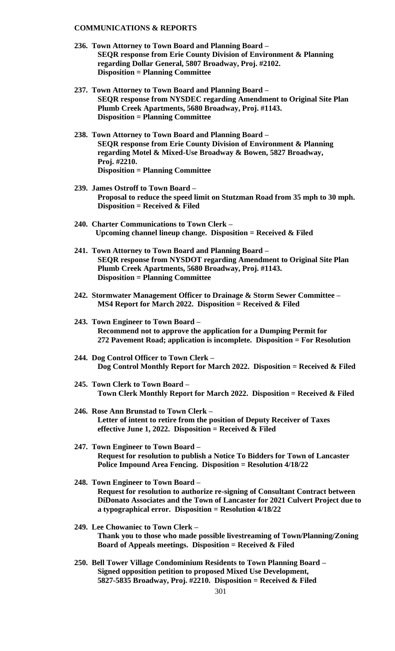#### **COMMUNICATIONS & REPORTS**

- **236. Town Attorney to Town Board and Planning Board – SEQR response from Erie County Division of Environment & Planning regarding Dollar General, 5807 Broadway, Proj. #2102. Disposition = Planning Committee**
- **237. Town Attorney to Town Board and Planning Board – SEQR response from NYSDEC regarding Amendment to Original Site Plan Plumb Creek Apartments, 5680 Broadway, Proj. #1143. Disposition = Planning Committee**
- **238. Town Attorney to Town Board and Planning Board – SEQR response from Erie County Division of Environment & Planning regarding Motel & Mixed-Use Broadway & Bowen, 5827 Broadway, Proj. #2210. Disposition = Planning Committee**
- **239. James Ostroff to Town Board – Proposal to reduce the speed limit on Stutzman Road from 35 mph to 30 mph. Disposition = Received & Filed**
- **240. Charter Communications to Town Clerk – Upcoming channel lineup change. Disposition = Received & Filed**
- **241. Town Attorney to Town Board and Planning Board – SEQR response from NYSDOT regarding Amendment to Original Site Plan Plumb Creek Apartments, 5680 Broadway, Proj. #1143. Disposition = Planning Committee**
- **242. Stormwater Management Officer to Drainage & Storm Sewer Committee – MS4 Report for March 2022. Disposition = Received & Filed**
- **243. Town Engineer to Town Board – Recommend not to approve the application for a Dumping Permit for 272 Pavement Road; application is incomplete. Disposition = For Resolution**
- **244. Dog Control Officer to Town Clerk – Dog Control Monthly Report for March 2022. Disposition = Received & Filed**
- **245. Town Clerk to Town Board – Town Clerk Monthly Report for March 2022. Disposition = Received & Filed**
- **246. Rose Ann Brunstad to Town Clerk – Letter of intent to retire from the position of Deputy Receiver of Taxes effective June 1, 2022. Disposition = Received & Filed**
- **247. Town Engineer to Town Board – Request for resolution to publish a Notice To Bidders for Town of Lancaster Police Impound Area Fencing. Disposition = Resolution 4/18/22**
- **248. Town Engineer to Town Board – Request for resolution to authorize re-signing of Consultant Contract between DiDonato Associates and the Town of Lancaster for 2021 Culvert Project due to a typographical error. Disposition = Resolution 4/18/22**
- **249. Lee Chowaniec to Town Clerk – Thank you to those who made possible livestreaming of Town/Planning/Zoning Board of Appeals meetings. Disposition = Received & Filed**
- **250. Bell Tower Village Condominium Residents to Town Planning Board – Signed opposition petition to proposed Mixed Use Development, 5827-5835 Broadway, Proj. #2210. Disposition = Received & Filed**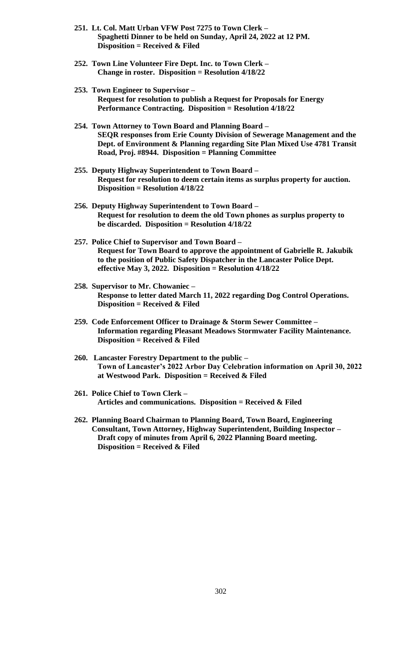- **251. Lt. Col. Matt Urban VFW Post 7275 to Town Clerk – Spaghetti Dinner to be held on Sunday, April 24, 2022 at 12 PM. Disposition = Received & Filed**
- **252. Town Line Volunteer Fire Dept. Inc. to Town Clerk – Change in roster. Disposition = Resolution 4/18/22**
- **253. Town Engineer to Supervisor – Request for resolution to publish a Request for Proposals for Energy Performance Contracting. Disposition = Resolution 4/18/22**
- **254. Town Attorney to Town Board and Planning Board – SEQR responses from Erie County Division of Sewerage Management and the Dept. of Environment & Planning regarding Site Plan Mixed Use 4781 Transit Road, Proj. #8944. Disposition = Planning Committee**
- **255. Deputy Highway Superintendent to Town Board – Request for resolution to deem certain items as surplus property for auction. Disposition = Resolution 4/18/22**
- **256. Deputy Highway Superintendent to Town Board – Request for resolution to deem the old Town phones as surplus property to be discarded. Disposition = Resolution 4/18/22**
- **257. Police Chief to Supervisor and Town Board – Request for Town Board to approve the appointment of Gabrielle R. Jakubik to the position of Public Safety Dispatcher in the Lancaster Police Dept. effective May 3, 2022. Disposition = Resolution 4/18/22**
- **258. Supervisor to Mr. Chowaniec – Response to letter dated March 11, 2022 regarding Dog Control Operations. Disposition = Received & Filed**
- **259. Code Enforcement Officer to Drainage & Storm Sewer Committee – Information regarding Pleasant Meadows Stormwater Facility Maintenance. Disposition = Received & Filed**
- **260. Lancaster Forestry Department to the public – Town of Lancaster's 2022 Arbor Day Celebration information on April 30, 2022 at Westwood Park. Disposition = Received & Filed**
- **261. Police Chief to Town Clerk – Articles and communications. Disposition = Received & Filed**
- **262. Planning Board Chairman to Planning Board, Town Board, Engineering Consultant, Town Attorney, Highway Superintendent, Building Inspector – Draft copy of minutes from April 6, 2022 Planning Board meeting. Disposition = Received & Filed**